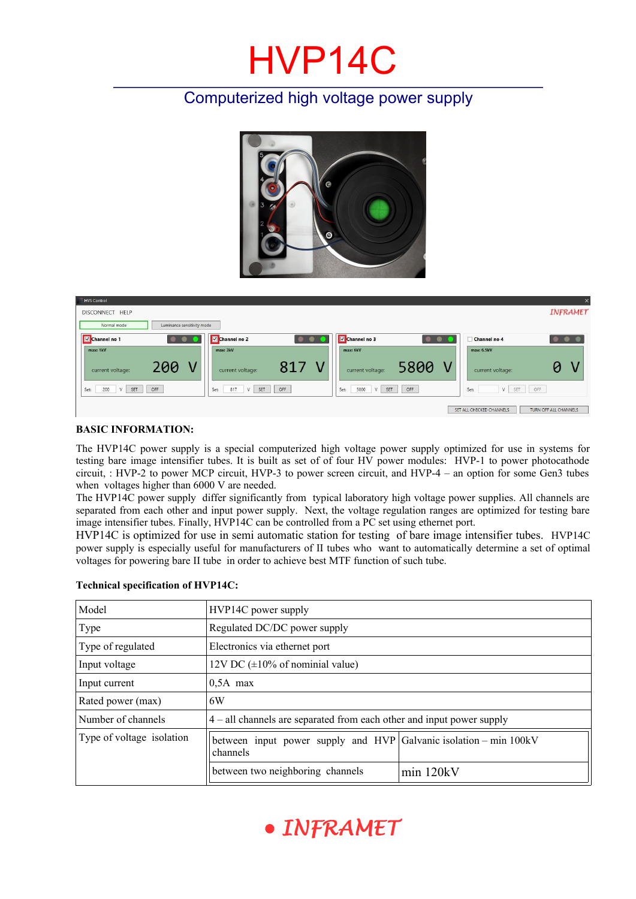# HVP14C

## Computerized high voltage power supply



| <b>HVS</b> Control                        |                                    |                                 | $\times$                                          |
|-------------------------------------------|------------------------------------|---------------------------------|---------------------------------------------------|
| DISCONNECT HELP                           |                                    |                                 | INFRAMET                                          |
| Luminance sensitivity mode<br>Normal mode |                                    |                                 |                                                   |
| Channel no 1                              | Channel no 2                       | Channel no 3                    | Channel no 4<br><b>OBSE</b>                       |
| max: 1kV                                  | max: 3kV                           | max: 6kV                        | max: 6.5kV                                        |
| 200<br>V<br>current voltage:              | 817<br>current voltage:            | 5800<br>V<br>current voltage:   | current voltage:                                  |
| OFF<br>SET<br>200<br>Set:<br>V            | OFF<br>SET<br>817<br>$\vee$<br>Set | OFF<br>5800<br>SET<br>Set:<br>V | OFF<br>SET<br>Set<br>V                            |
|                                           |                                    |                                 | SET ALL CHECKED CHANNELS<br>TURN OFF ALL CHANNELS |

#### **BASIC INFORMATION:**

The HVP14C power supply is a special computerized high voltage power supply optimized for use in systems for testing bare image intensifier tubes. It is built as set of of four HV power modules: HVP-1 to power photocathode circuit, : HVP-2 to power MCP circuit, HVP-3 to power screen circuit, and HVP-4 – an option for some Gen3 tubes when voltages higher than 6000 V are needed.

The HVP14C power supply differ significantly from typical laboratory high voltage power supplies. All channels are separated from each other and input power supply. Next, the voltage regulation ranges are optimized for testing bare image intensifier tubes. Finally, HVP14C can be controlled from a PC set using ethernet port.

HVP14C is optimized for use in semi automatic station for testing of bare image intensifier tubes. HVP14C power supply is especially useful for manufacturers of II tubes who want to automatically determine a set of optimal voltages for powering bare II tube in order to achieve best MTF function of such tube.

| Model                     | HVP14C power supply                                                             |           |  |  |  |
|---------------------------|---------------------------------------------------------------------------------|-----------|--|--|--|
| Type                      | Regulated DC/DC power supply                                                    |           |  |  |  |
| Type of regulated         | Electronics via ethernet port                                                   |           |  |  |  |
| Input voltage             | 12V DC $(\pm 10\% \text{ of nominal value})$                                    |           |  |  |  |
| Input current             | $0.5A$ max                                                                      |           |  |  |  |
| Rated power (max)         | 6W                                                                              |           |  |  |  |
| Number of channels        | $4$ – all channels are separated from each other and input power supply         |           |  |  |  |
| Type of voltage isolation | between input power supply and $HVP$ Galvanic isolation – min 100kV<br>channels |           |  |  |  |
|                           | between two neighboring channels                                                | min 120kV |  |  |  |

#### **Technical specification of HVP14C:**